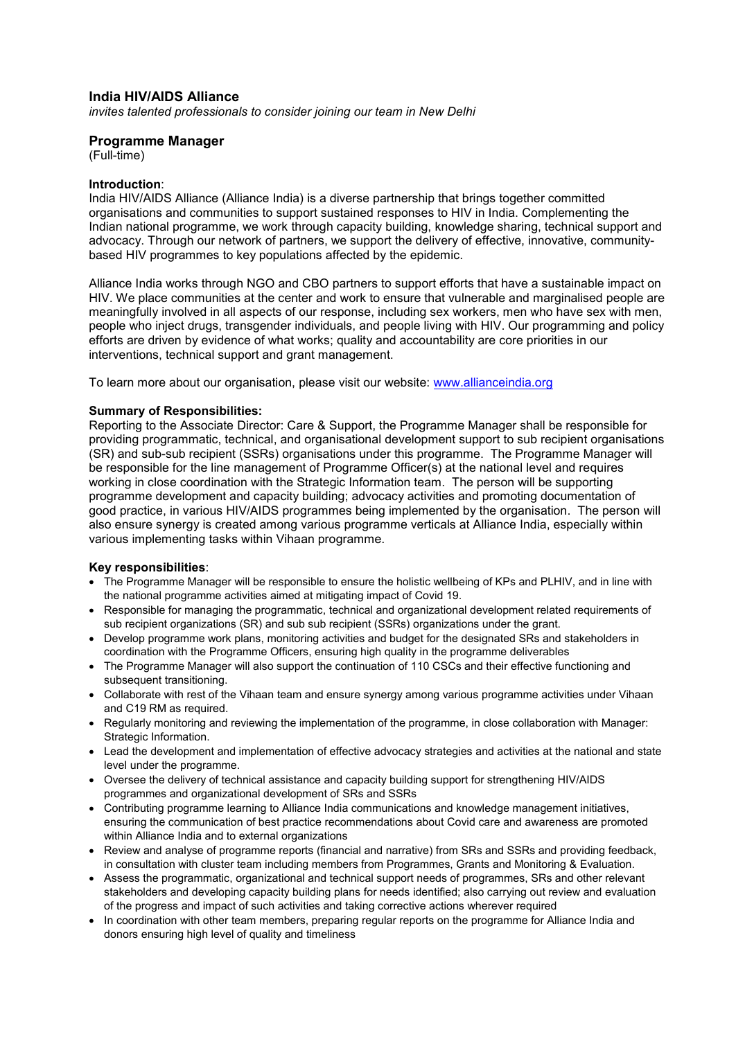## **India HIV/AIDS Alliance**

*invites talented professionals to consider joining our team in New Delhi* 

### **Programme Manager**

(Full-time)

### **Introduction**:

India HIV/AIDS Alliance (Alliance India) is a diverse partnership that brings together committed organisations and communities to support sustained responses to HIV in India. Complementing the Indian national programme, we work through capacity building, knowledge sharing, technical support and advocacy. Through our network of partners, we support the delivery of effective, innovative, communitybased HIV programmes to key populations affected by the epidemic.

Alliance India works through NGO and CBO partners to support efforts that have a sustainable impact on HIV. We place communities at the center and work to ensure that vulnerable and marginalised people are meaningfully involved in all aspects of our response, including sex workers, men who have sex with men, people who inject drugs, transgender individuals, and people living with HIV. Our programming and policy efforts are driven by evidence of what works; quality and accountability are core priorities in our interventions, technical support and grant management.

To learn more about our organisation, please visit our website: [www.allianceindia.org](http://www.allianceindia.org/) 

#### **Summary of Responsibilities:**

Reporting to the Associate Director: Care & Support, the Programme Manager shall be responsible for providing programmatic, technical, and organisational development support to sub recipient organisations (SR) and sub-sub recipient (SSRs) organisations under this programme. The Programme Manager will be responsible for the line management of Programme Officer(s) at the national level and requires working in close coordination with the Strategic Information team. The person will be supporting programme development and capacity building; advocacy activities and promoting documentation of good practice, in various HIV/AIDS programmes being implemented by the organisation. The person will also ensure synergy is created among various programme verticals at Alliance India, especially within various implementing tasks within Vihaan programme.

### **Key responsibilities**:

- The Programme Manager will be responsible to ensure the holistic wellbeing of KPs and PLHIV, and in line with the national programme activities aimed at mitigating impact of Covid 19.
- Responsible for managing the programmatic, technical and organizational development related requirements of sub recipient organizations (SR) and sub sub recipient (SSRs) organizations under the grant.
- Develop programme work plans, monitoring activities and budget for the designated SRs and stakeholders in coordination with the Programme Officers, ensuring high quality in the programme deliverables
- The Programme Manager will also support the continuation of 110 CSCs and their effective functioning and subsequent transitioning.
- Collaborate with rest of the Vihaan team and ensure synergy among various programme activities under Vihaan and C19 RM as required.
- Regularly monitoring and reviewing the implementation of the programme, in close collaboration with Manager: Strategic Information.
- Lead the development and implementation of effective advocacy strategies and activities at the national and state level under the programme.
- Oversee the delivery of technical assistance and capacity building support for strengthening HIV/AIDS programmes and organizational development of SRs and SSRs
- Contributing programme learning to Alliance India communications and knowledge management initiatives, ensuring the communication of best practice recommendations about Covid care and awareness are promoted within Alliance India and to external organizations
- Review and analyse of programme reports (financial and narrative) from SRs and SSRs and providing feedback, in consultation with cluster team including members from Programmes, Grants and Monitoring & Evaluation.
- Assess the programmatic, organizational and technical support needs of programmes, SRs and other relevant stakeholders and developing capacity building plans for needs identified; also carrying out review and evaluation of the progress and impact of such activities and taking corrective actions wherever required
- In coordination with other team members, preparing regular reports on the programme for Alliance India and donors ensuring high level of quality and timeliness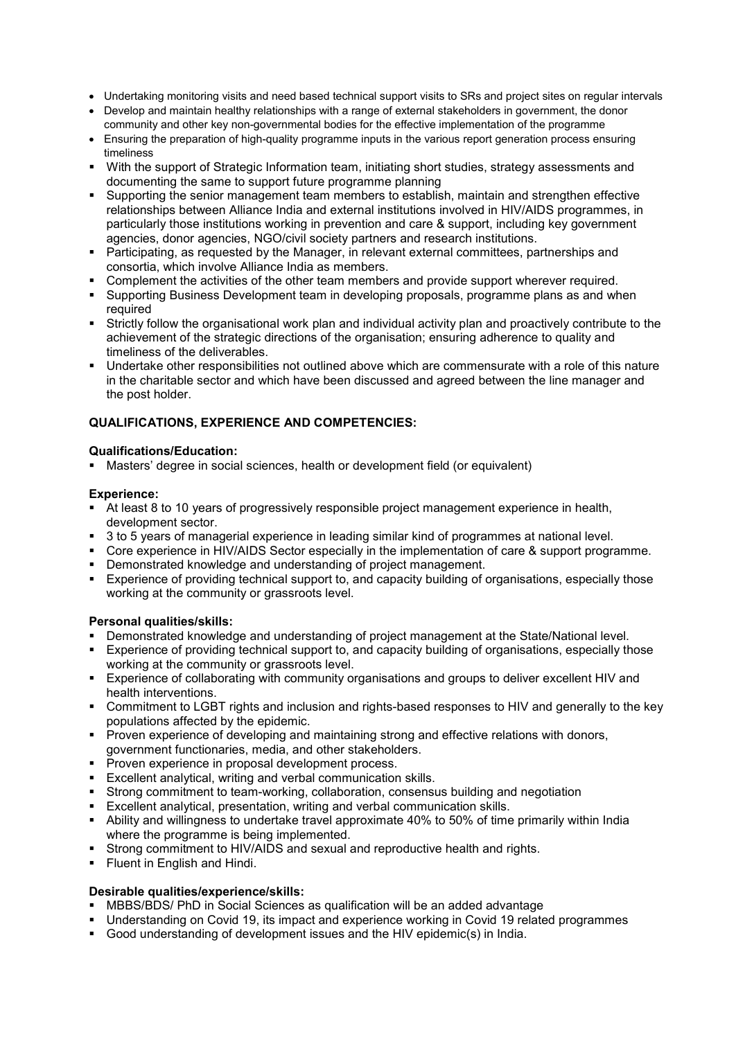- Undertaking monitoring visits and need based technical support visits to SRs and project sites on regular intervals
- Develop and maintain healthy relationships with a range of external stakeholders in government, the donor community and other key non-governmental bodies for the effective implementation of the programme
- Ensuring the preparation of high-quality programme inputs in the various report generation process ensuring timeliness
- With the support of Strategic Information team, initiating short studies, strategy assessments and documenting the same to support future programme planning
- Supporting the senior management team members to establish, maintain and strengthen effective relationships between Alliance India and external institutions involved in HIV/AIDS programmes, in particularly those institutions working in prevention and care & support, including key government agencies, donor agencies, NGO/civil society partners and research institutions.
- Participating, as requested by the Manager, in relevant external committees, partnerships and consortia, which involve Alliance India as members.
- Complement the activities of the other team members and provide support wherever required.
- **Supporting Business Development team in developing proposals, programme plans as and when** required
- Strictly follow the organisational work plan and individual activity plan and proactively contribute to the achievement of the strategic directions of the organisation; ensuring adherence to quality and timeliness of the deliverables.
- Undertake other responsibilities not outlined above which are commensurate with a role of this nature in the charitable sector and which have been discussed and agreed between the line manager and the post holder.

# **QUALIFICATIONS, EXPERIENCE AND COMPETENCIES:**

## **Qualifications/Education:**

Masters' degree in social sciences, health or development field (or equivalent)

## **Experience:**

- At least 8 to 10 years of progressively responsible project management experience in health, development sector.
- 3 to 5 years of managerial experience in leading similar kind of programmes at national level.
- Core experience in HIV/AIDS Sector especially in the implementation of care & support programme.
- Demonstrated knowledge and understanding of project management.
- Experience of providing technical support to, and capacity building of organisations, especially those working at the community or grassroots level.

# **Personal qualities/skills:**

- Demonstrated knowledge and understanding of project management at the State/National level.
- Experience of providing technical support to, and capacity building of organisations, especially those working at the community or grassroots level.
- Experience of collaborating with community organisations and groups to deliver excellent HIV and health interventions.
- Commitment to LGBT rights and inclusion and rights-based responses to HIV and generally to the key populations affected by the epidemic.
- **Proven experience of developing and maintaining strong and effective relations with donors,** government functionaries, media, and other stakeholders.
- **Proven experience in proposal development process.**
- Excellent analytical, writing and verbal communication skills.
- Strong commitment to team-working, collaboration, consensus building and negotiation
- Excellent analytical, presentation, writing and verbal communication skills.
- Ability and willingness to undertake travel approximate 40% to 50% of time primarily within India where the programme is being implemented.
- Strong commitment to HIV/AIDS and sexual and reproductive health and rights.
- **Fluent in English and Hindi.**

## **Desirable qualities/experience/skills:**

- MBBS/BDS/ PhD in Social Sciences as qualification will be an added advantage
- Understanding on Covid 19, its impact and experience working in Covid 19 related programmes
- Good understanding of development issues and the HIV epidemic(s) in India.